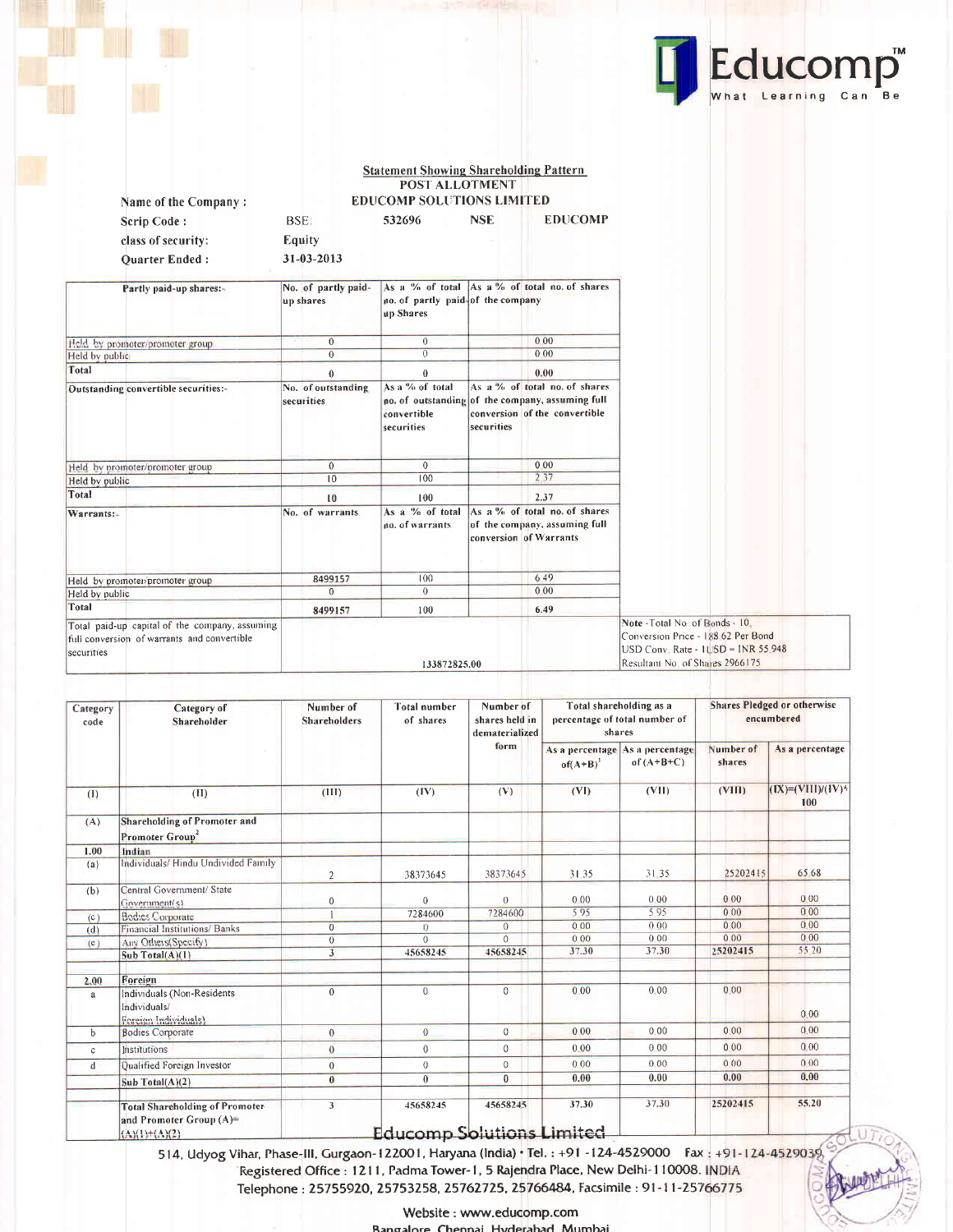

**Statement Showing Shareholding Pattern<br>POST ALLOTMENT EDUCOMP SOLUTIONS LIMITED** 

532696

**NSE** 

**EDUCOMP** 

Name of the Company: Scrip Code: class of security: Quarter Ended:

Equity 31-03-2013

BSE:

| Partly paid-up shares:-                                                                                     | No. of partly paid-<br>up shares | no. of partly paid of the company<br>up Shares |            | As a % of total As a % of total no. of shares                                                                      |                                                                                                                                                   |
|-------------------------------------------------------------------------------------------------------------|----------------------------------|------------------------------------------------|------------|--------------------------------------------------------------------------------------------------------------------|---------------------------------------------------------------------------------------------------------------------------------------------------|
| Held by promoter/promoter group                                                                             | $\theta$                         | $\overline{0}$                                 |            | 0.00                                                                                                               |                                                                                                                                                   |
| Held by public                                                                                              | $\overline{0}$                   | $\theta$                                       |            | 0.00                                                                                                               |                                                                                                                                                   |
| Total                                                                                                       | $\theta$                         | $\bf{0}$                                       |            | 0.00                                                                                                               |                                                                                                                                                   |
| Outstanding convertible securities:-                                                                        | No. of outstanding<br>securities | As a % of total<br>convertible<br>securities   | securities | As a % of total no. of shares<br>no. of outstanding of the company, assuming full<br>conversion of the convertible |                                                                                                                                                   |
| Held by promoter/promoter group                                                                             | $\mathbf{0}$                     | $\mathbf{0}$                                   |            | 0.00                                                                                                               |                                                                                                                                                   |
| Held by public                                                                                              | 10                               | 100                                            |            | 2.37                                                                                                               |                                                                                                                                                   |
| Total                                                                                                       | 10                               | 100                                            |            | 2.37                                                                                                               |                                                                                                                                                   |
| Warrants:-                                                                                                  | No. of warrants                  | As a % of total<br>no. of warrants             |            | As a % of total no. of shares<br>of the company, assuming full<br>conversion of Warrants                           |                                                                                                                                                   |
| Held by promoter/promoter group                                                                             | 8499157                          | 100                                            |            | 6.49                                                                                                               |                                                                                                                                                   |
| Held by public                                                                                              | $\Omega$                         | $\overline{0}$                                 |            | 000                                                                                                                |                                                                                                                                                   |
| Total                                                                                                       | 8499157                          | 100                                            |            | 6.49                                                                                                               |                                                                                                                                                   |
| Total paid-up capital of the company, assuming<br>full conversion of warrants and convertible<br>securities |                                  | 133872825.00                                   |            |                                                                                                                    | Note - Total No of Bonds - 10<br>Conversion Price - 188 62 Per Bond<br>$USD Conv$ . Rate - $IUBD = INR 55.948$<br>Resultant No. of Shares 2966175 |

| Category<br>code | Category of<br>Shareholder                                                          | Number of<br><b>Shareholders</b> | <b>Total number</b><br>of shares             | Number of<br>shares held in<br>dematerialized |               | Total shareholding as a<br>percentage of total number of<br>shares |                     | <b>Shares Pledged or otherwise</b><br>encumbered |
|------------------|-------------------------------------------------------------------------------------|----------------------------------|----------------------------------------------|-----------------------------------------------|---------------|--------------------------------------------------------------------|---------------------|--------------------------------------------------|
|                  |                                                                                     |                                  |                                              | form                                          | $of(A+B)^{1}$ | As a percentage As a percentage<br>of $(A+B+C)$                    | Number of<br>shares | As a percentage                                  |
| (1)              | (II)                                                                                | (III)                            | (IV)                                         | (V)                                           | (VI)          | (VII)                                                              | (VIII)              | $(IX) = (VIII)/(IV)^*$<br>100                    |
| (A)              | Shareholding of Promoter and<br>Promoter Group                                      |                                  |                                              |                                               |               |                                                                    |                     |                                                  |
| 1.00             | Indian                                                                              |                                  |                                              |                                               |               |                                                                    |                     |                                                  |
| (a)              | Individuals/ Hindu Undivided Family                                                 | $\overline{2}$                   | 38373645                                     | 38373645                                      | 31.35         | 31.35                                                              | 25202415            | 65 68                                            |
| (b)              | Central Government/ State<br>Government(s)                                          | $\mathbf 0$                      | $\overline{0}$                               | $\theta$                                      | 0.00          | 0.00                                                               | 000                 | 000                                              |
| (c)              | <b>Bodies Corporate</b>                                                             |                                  | 7284600                                      | 7284600                                       | 595           | 595                                                                | 0.00                | 000                                              |
| (d)              | Financial Institutions/ Banks                                                       | $\Omega$                         | $\theta$                                     | $\Omega$                                      | 000           | 0.00                                                               | 000                 | 0.00                                             |
| (e)              | Any Others(Specify)                                                                 | $\mathbf{0}$                     | $\Omega$                                     | $\Omega$                                      | 000           | 0.00                                                               | 000                 | 0.00                                             |
|                  | Sub Total(A)(1)                                                                     | $\overline{3}$                   | 45658245                                     | 45658245                                      | 37.30         | 37.30                                                              | 25202415            | 55 20                                            |
| 2.00             | Foreign                                                                             |                                  |                                              |                                               |               |                                                                    |                     |                                                  |
| a                | Individuals (Non-Residents<br>Individuals/<br>Foreign Individuals)                  | $\mathbf{0}$                     | $\overline{0}$                               | $\mathbf{0}$                                  | 0.00          | 0.00                                                               | 0.00                | 0.00                                             |
| b                | <b>Bodies Corporate</b>                                                             | $\overline{0}$                   | $\overline{0}$                               | $\overline{0}$                                | 000           | 0.00                                                               | 000                 | 0.00                                             |
| $\mathbb{C}$     | Institutions                                                                        | $\overline{0}$                   | $\,0\,$                                      | $\mathbf{0}$                                  | 0.00          | 0.00                                                               | 0.00                | 0.00                                             |
| $\mathbf{d}$     | Qualified Foreign Investor                                                          | $\mathbf{0}$                     | $\,0\,$                                      | $\mathbf{0}$                                  | 0.00          | 0.00                                                               | 000                 | 0.00                                             |
|                  | Sub Total(A)(2)                                                                     | $\bf{0}$                         | $\mathbf{0}$                                 | $\mathbf{0}$                                  | 0.00          | 0.00                                                               | 0.00                | 0.00                                             |
|                  | <b>Total Shareholding of Promoter</b><br>and Promoter Group (A)=<br>$(A)(1)+(A)(2)$ | $\overline{\mathbf{3}}$          | 45658245<br><b>Educomp Solutions Limited</b> | 45658245                                      | 37.30         | 37,30                                                              | 25202415            | 55.20                                            |

лпп

514, Udyog Vihar, Phase-III, Gurgaon-122001, Haryana (India) · Tel.: +91 -124-4529000 Fax: +91-124-4529039 Registered Office : 1211, Padma Tower-1, 5 Rajendra Place, New Delhi-110008. INDIA Telephone: 25755920, 25753258, 25762725, 25766484, Facsimile: 91-11-25766775

> Website : www.educomp.com Bangalore Chennai Hyderabad Mumbai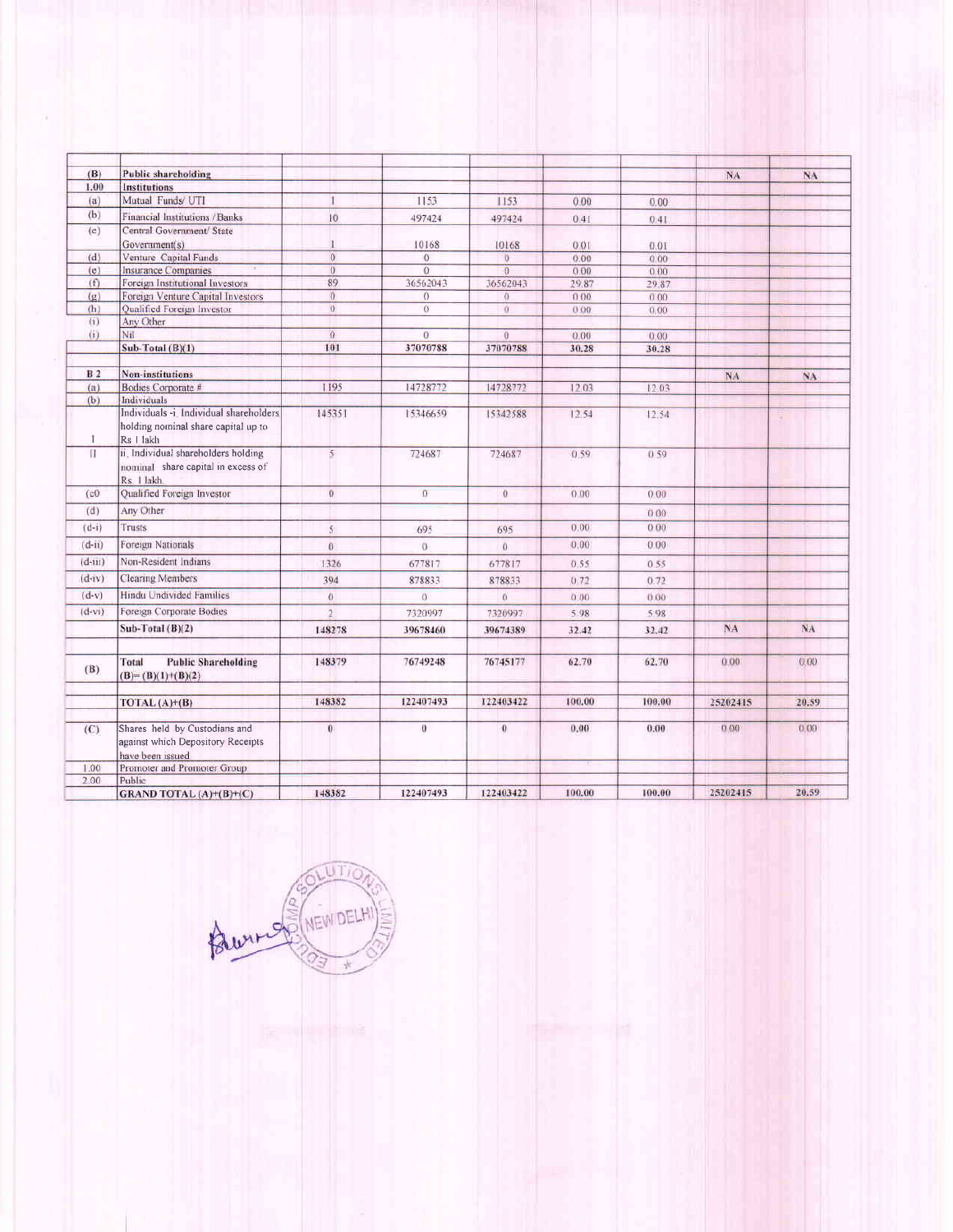| (B)            | <b>Public shareholding</b>                                                                  |                |                |                |        |        | NA       | NA    |
|----------------|---------------------------------------------------------------------------------------------|----------------|----------------|----------------|--------|--------|----------|-------|
| 1.00           | <b>Institutions</b>                                                                         |                |                |                |        |        |          |       |
| (a)            | Mutual Funds/ UTI                                                                           | П              | 1153           | 1153           | 0.00   | 0.00   |          |       |
| (b)            | Financial Institutions / Banks                                                              | 10             | 497424         | 497424         | 0.41   | 0.41   |          |       |
| (c)            | Central Government/ State                                                                   |                |                |                |        |        |          |       |
|                | Government(s)                                                                               |                | 10168          | 10168          | 0.01   | 0.01   |          |       |
| (d)            | Venture Capital Funds                                                                       | $\Omega$       | $\alpha$       | Ö              | 0.00.  | 0.00   |          |       |
| (e)            | <b>Insurance Companies</b>                                                                  | $\overline{0}$ | $\Omega$       | $\overline{0}$ | 0.00   | 0.00   |          |       |
| (f)            | Foreign Institutional Investors                                                             | 89             | 36562043       | 36562043       | 29.87  | 29.87  |          |       |
| (q)            | Foreign Venture Capital Investors                                                           | $\Omega$       | $\Omega$       | $\theta$       | 0.00   | 0.00   |          |       |
| (h)            | Qualified Foreign Investor                                                                  | $\mathbf{0}$   | $\alpha$       | $\ddot{0}$     | 0.00   | 0.00   |          |       |
| (i)            | Any Other                                                                                   |                |                |                |        |        |          |       |
| (i)            | Nil                                                                                         | $\Omega$       | $\alpha$       | $\theta$       | 0.00   | 0.00   |          |       |
|                | Sub-Total (B)(1)                                                                            | 101            | 37070788       | 37070788       | 30.28  | 30.28  |          |       |
| B <sub>2</sub> | <b>Non-institutions</b>                                                                     |                |                |                |        |        | NA.      | NA.   |
| (a)            | Bodies Corporate #                                                                          | 1195           | 14728772       | 14728772       | 12.03  | 12.03  |          |       |
| (b)            | Individuals                                                                                 |                |                |                |        |        |          |       |
| T              | Individuals -i. Individual shareholders<br>holding nominal share capital up to<br>Rs I lakh | 145351         | 15346659       | 15342588       | 12.54  | 12.54  |          | ×     |
| $\mathbf{H}$   | ii. Individual shareholders holding<br>nominal share capital in excess of<br>Rs. 1 lakh.    | $\mathcal{S}$  | 724687         | 724687         | 0.59.  | 0.59   |          |       |
| (c0)           | Qualified Foreign Investor                                                                  | $\overline{0}$ | $\overline{0}$ | $\Omega$       | 0.00   | 0.00   |          |       |
| (d)            | Any Other                                                                                   |                |                |                |        | 0.00   |          |       |
| $(d-i)$        | Trusts                                                                                      | $5^{\circ}$    | 695            | 695            | 0.00   | 0.00   |          |       |
| $(d-n)$        | Foreign Nationals                                                                           | $\alpha$       | 0              | $\overline{0}$ | 0.00   | 0.00   |          |       |
| $(d-m)$        | Non-Resident Indians                                                                        | 1326           | 677817         | 677817         | 0.55   | 0.55   |          |       |
| $(d-iv)$       | <b>Clearing Members</b>                                                                     | 394            | 878833         | 878833         | 0.72   | 0.72   |          |       |
| $(d-v)$        | Hindu Undivided Families                                                                    | $\theta$       | $\alpha$       | $\theta$       | 0.00   | 0.00   |          |       |
| $(d-vi)$       | Foreign Corporate Bodies                                                                    | $\overline{2}$ | 7320997        | 7320997        | 5.98   | 5.98   |          |       |
|                | Sub-Total $(B)(2)$                                                                          | 148278         | 39678460       | 39674389       | 32.42  | 32.42  | NA       | NA    |
| (B)            | <b>Public Shareholding</b><br>Total<br>$(B)=(B)(1)+(B)(2)$                                  | 148379         | 76749248       | 76745177       | 62.70  | 62.70  | 0.00     | 0.00  |
|                | TOTAL (A)+(B)                                                                               | 148382         | 122407493      | 122403422      | 100.00 | 100.00 | 25202415 | 20.59 |
| (C)            | Shares held by Custodians and<br>against which Depository Receipts<br>have been issued      | $\theta$       | $\theta$       | $\bf{0}$       | 0.00   | 0.00   | 0.00     | 0.00  |
| 1.00           | Promoter and Promoter Group                                                                 |                |                |                |        |        |          |       |
| 2.00           | Public                                                                                      |                |                |                |        |        |          |       |
|                | GRAND TOTAL (A)+(B)+(C)                                                                     | 148382         | 122407493      | 122403422      | 100.00 | 100.00 | 25202415 | 20.59 |

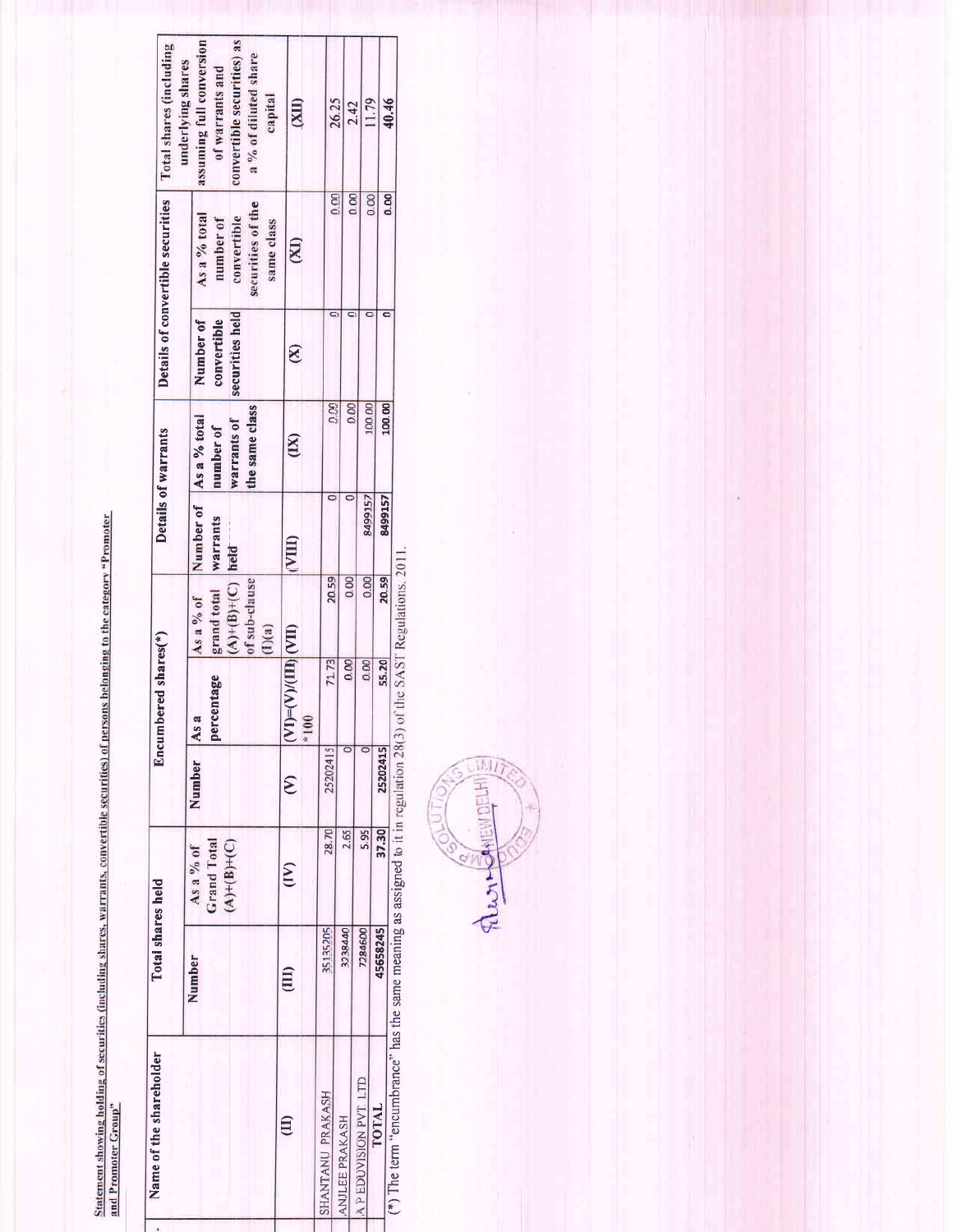Statement showing holding of securities (including shares, warrants, convertible securities) of persons belonging to the category "Promoter<br>and Promoter Group"

| Name of the shareholder                                     | Total shares held |                                                  |                      | Encumbered shares(*)              |                                                                          |                                                   | Details of warrants                               |                                             | Details of convertible securities                                           | Total shares (including<br>underlying shares                                                                 |
|-------------------------------------------------------------|-------------------|--------------------------------------------------|----------------------|-----------------------------------|--------------------------------------------------------------------------|---------------------------------------------------|---------------------------------------------------|---------------------------------------------|-----------------------------------------------------------------------------|--------------------------------------------------------------------------------------------------------------|
|                                                             | Number            | $(A)+(B)+(C)$<br><b>Grand Total</b><br>As a % of | Number               | percentage<br>As a                | of sub-clause<br>$(A) + (B) + (C)$<br>grand total<br>As a % of<br>(1)(a) | Number of As a % total<br><b>Warrants</b><br>held | the same class<br><b>Warrants of</b><br>number of | securities held<br>convertible<br>Number of | securities of the<br>As a % total<br>convertible<br>number of<br>same class | convertible securities) as<br>assuming full conversion<br>a % of diluted share<br>of warrants and<br>capital |
| $\widehat{\Xi}$                                             | (III)             | $\sum_{i=1}^{n}$                                 | $\widehat{\epsilon}$ | $[(-V)/(III)](VII)$<br>$*10$<br>Σ |                                                                          | (VIII)                                            | (X)                                               | $\otimes$                                   | (XI)                                                                        | <b>CITX)</b>                                                                                                 |
| SHANTANU PRAKASH                                            | 35135205          | 28.70                                            | 25202415             | 71.73                             | 20.59                                                                    |                                                   | 0.00                                              |                                             | 0.00                                                                        | 26.25                                                                                                        |
| ANJLEE PRAKASH                                              | 3238440           | 2.65                                             |                      | 0.00                              | $\overline{0}$                                                           |                                                   | 0.00                                              |                                             | $\overline{a}$                                                              | 2.42                                                                                                         |
| A P EDUVISION PVT LTD                                       | 7284600           | 5.95                                             |                      | 0.00                              | 0.00                                                                     | <b>8499157</b>                                    | 100.00                                            |                                             | 0.00                                                                        | 11.79                                                                                                        |
| $\{\hat{r}\}\$ Tha tarm "conous and conocal inter-<br>TOTAL | 45658245          | 37.30                                            | 25202415             | 55.20                             | 20.59                                                                    | 8499157                                           | 100.00                                            |                                             | 0.00                                                                        | 40.46                                                                                                        |

(\*) The term "encumbrance" has the same meaning as assigned to it in regulation  $28(3)$  of the SAST Regulations,  $2011$ .

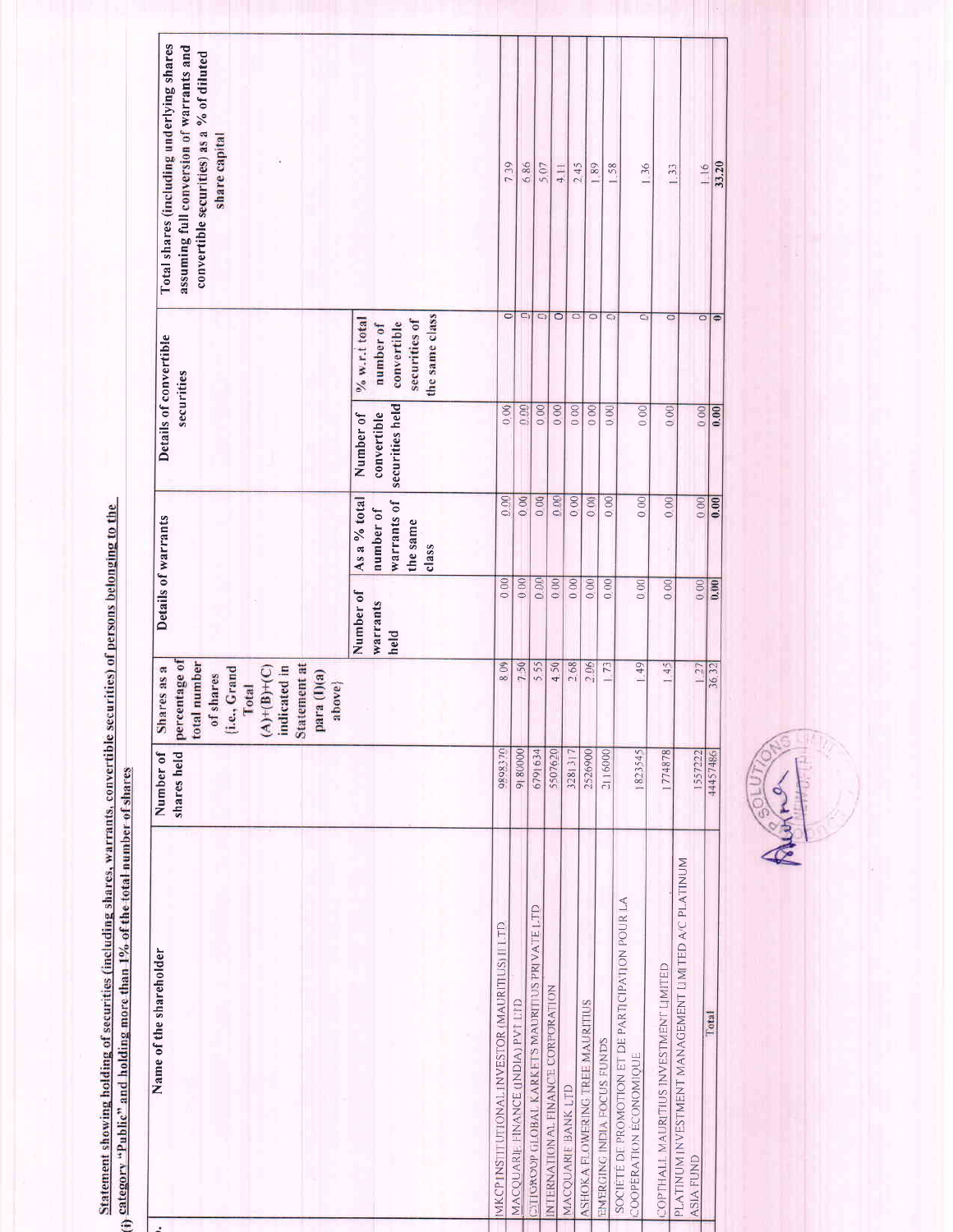| Total shares (including underlying shares<br>assuming full conversion of warrants and<br>convertible securities) as a % of diluted<br>share capital<br>Details of convertible<br>securities | the same class<br>$% w.r.t.$ total<br>securities of<br>convertible<br>number of | $\overline{\circ}$                             | 739<br>O                          | 686<br>O                                              | 5.07<br>$\overline{\circ}$        | $4$   <br>$\circ$  | 245                             | 1.89<br>$\overline{\circ}$ |
|---------------------------------------------------------------------------------------------------------------------------------------------------------------------------------------------|---------------------------------------------------------------------------------|------------------------------------------------|-----------------------------------|-------------------------------------------------------|-----------------------------------|--------------------|---------------------------------|----------------------------|
|                                                                                                                                                                                             | securities held<br>convertible<br>Number of                                     | 0.00                                           | 0.00                              | 0.00                                                  | 0.00                              | 000                | $\overline{00}$                 |                            |
| Details of warrants                                                                                                                                                                         | As a % total<br>warrants of<br>number of<br>the same<br>class                   | 0.00                                           | 0.00                              | 000                                                   | 0.00                              | 000                | 000                             | 000                        |
|                                                                                                                                                                                             | Number of<br>warrants<br>held                                                   | 0.00                                           | 000                               | 0.00                                                  | 000                               | 000                | 0.00                            | 0.00                       |
| percentage of<br>total number<br>Statement at<br>Shares as a<br>indicated in<br>$A)+(B)+(C)$<br>(i.e., Grand<br>para $(1)(a)$<br>of shares<br>above}<br>Total                               |                                                                                 | 809                                            | 750                               | 555                                                   | 4.50                              | 268                | 2.06                            | $\frac{1}{73}$             |
| Number of<br>shares held                                                                                                                                                                    |                                                                                 | 0898370                                        | 9180000                           | 6791634                                               | 5507620                           | 3281317            | 2526900                         | 2116000                    |
| Name of the shareholder                                                                                                                                                                     |                                                                                 | MKCP INSTITUTIONAL INVESTOR (MAURITIUS) II LTD | MACQUARIL FINANCE (INDIA) PVT LTD | <b>CITIGROUP GLOBAL KARKETS MAURITIUS PRIVATE LTD</b> | INTERNATIONAL FINANCE CORPORATION | MACQUARIE BANK LTD | ASHOKA FLOWERING TREE MAURITIUS | EMERGING INDIA FOCUS FUNDS |

Statement showing holding of securities (including shares, warrants, convertible securities) of persons belonging to the (i) category "Public" and holding more than  $1\%$  of the total number of shares

 $\mathbb{R}^2$ 



1.58  $136$  $1.33$ 

 $\overline{\circ}$ 

 $000$ 

 $\overline{\circ}$  $\overline{\circ}$ 

 $0.00$ 

 $0.00$ 

 $0.00$ 

 $|49|$ 

1823545

 $\overline{000}$ 

 $\overline{0}$ 

 $000$ 

 $1.45$ 

1774878

PLATINUM INVESTMENT MANAGEMENT LIMITED A/C PLATINUM

**ASIA FUND** 

Total

COPTHALL MAURITIUS INVESTMENT LIMITED

société de promotion et de participation pour la coopération économique

 $116$ 33.20

 $\frac{1}{\sqrt{2}}$ 

 $\begin{array}{|c|c|c|}\n\hline\n0.000 \\
\hline\n0.000\n\end{array}$ 

 $0.00$ 

 $0.00$ 

 $1.27$ 

1557222

 $36.32$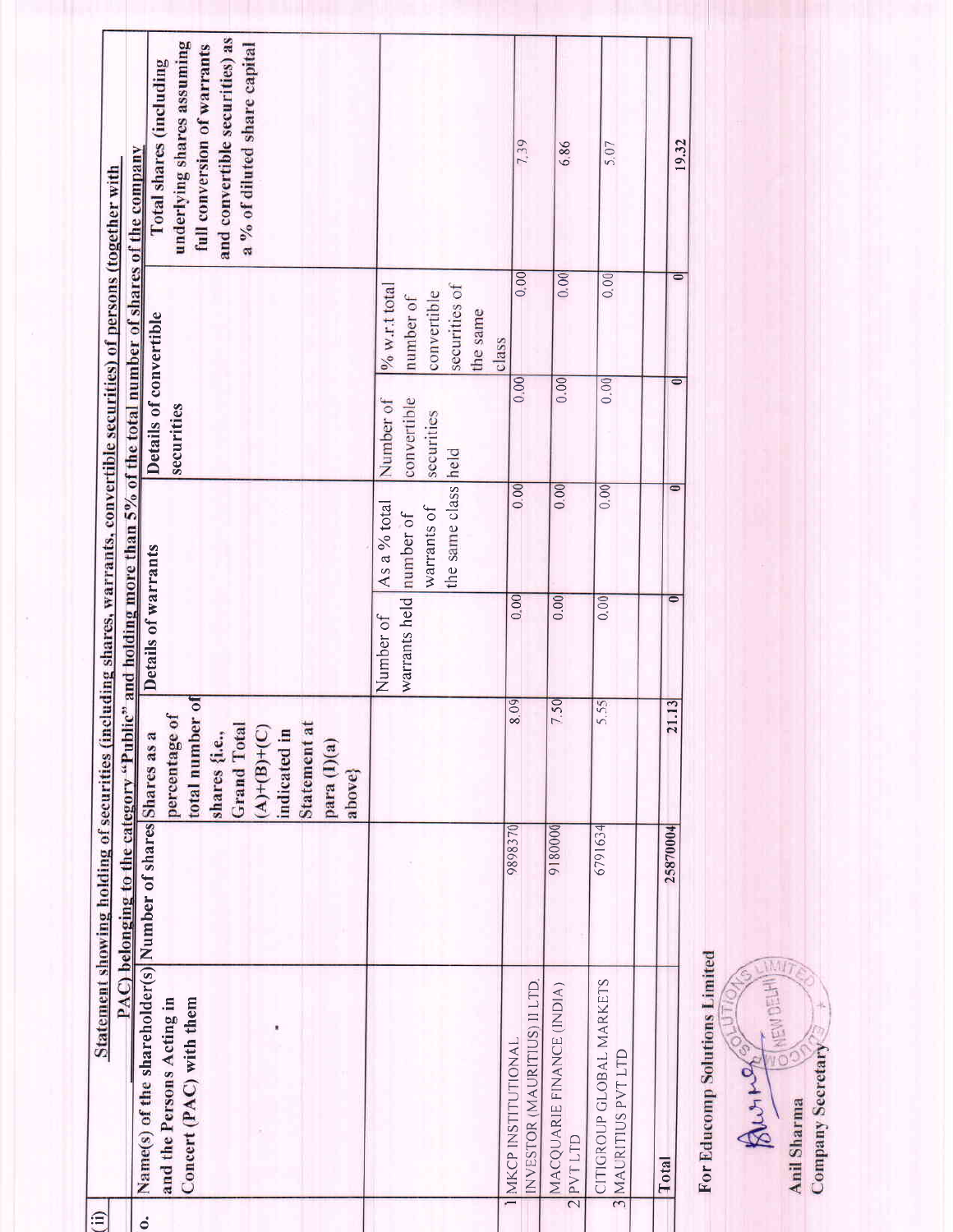|               |                                                                                                                    |          | PAC) belonging to the category "Public" and holding more than 5% of the total number of shares of the company<br>Statement showing holding of securities (including shares, warrants, convertible securities) of persons (together with |                            |                                                                 |                                        |                                                                                    |                                                                                                                                                        |
|---------------|--------------------------------------------------------------------------------------------------------------------|----------|-----------------------------------------------------------------------------------------------------------------------------------------------------------------------------------------------------------------------------------------|----------------------------|-----------------------------------------------------------------|----------------------------------------|------------------------------------------------------------------------------------|--------------------------------------------------------------------------------------------------------------------------------------------------------|
| $\dot{\circ}$ | Name(s) of the shareholder(s) Number of shares Shares as a<br>Concert (PAC) with them<br>and the Persons Acting in |          | $\overline{\mathbf{a}}$<br>percentage of<br>total number<br><b>Statement</b> at<br><b>Grand Total</b><br>$(A) + (B) + (C)$<br>indicated in<br>shares {i.e.,<br>para (I)(a)<br>above}                                                    | Details of warrants        |                                                                 | Details of convertible<br>securities   |                                                                                    | and convertible securities) as<br>underlying shares assuming<br>a % of diluted share capital<br>full conversion of warrants<br>Total shares (including |
|               |                                                                                                                    |          |                                                                                                                                                                                                                                         | warrants held<br>Number of | the same class held<br>As a % total<br>warrants of<br>number of | convertible<br>Number of<br>securities | securities of<br>$% w.r.t.$ total<br>convertible<br>number of<br>the same<br>class |                                                                                                                                                        |
|               | INVESTOR (MAURITIUS) II LTD<br>MKCP INSTITUTIONAL                                                                  | 9898370  | $\overline{09}$                                                                                                                                                                                                                         | 0.00                       | 0.00                                                            | 0.00                                   | $\overline{00}$                                                                    | 7.39                                                                                                                                                   |
|               | MACQUARIE FINANCE (INDIA)<br>2 PVTLTD                                                                              | 9180000  | 50                                                                                                                                                                                                                                      | 0.00                       | 0.00                                                            | 0.00                                   | 0.00                                                                               | 6.86                                                                                                                                                   |
|               | CITIGROUP GLOBAL MARKETS<br>3 MAURITIUS PVT LTD                                                                    | 6791634  | 55<br>∽                                                                                                                                                                                                                                 | 0.00                       | 0.00                                                            | 0.00                                   | 0.00                                                                               | 5.07                                                                                                                                                   |
|               | Total                                                                                                              | 25870004 | $\overline{13}$<br>21                                                                                                                                                                                                                   |                            |                                                                 | $\overline{\bullet}$                   | $\overline{\bullet}$                                                               | 19.32                                                                                                                                                  |

For Educomp Solutions Limited

清阳  $\begin{picture}(180,170) \put(0,0){\line(1,0){15}} \put(0,0){\line(1,0){15}} \put(0,0){\line(1,0){15}} \put(0,0){\line(1,0){15}} \put(0,0){\line(1,0){15}} \put(0,0){\line(1,0){15}} \put(0,0){\line(1,0){15}} \put(0,0){\line(1,0){15}} \put(0,0){\line(1,0){15}} \put(0,0){\line(1,0){15}} \put(0,0){\line(1,0){15}} \put(0,0){\line(1,0){15}} \put($ RAUTA